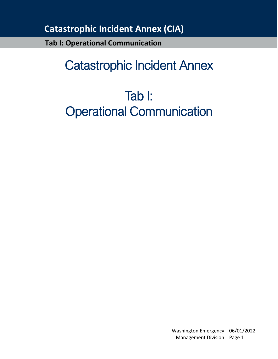**Tab I: Operational Communication**

# Catastrophic Incident Annex

# Tab I: Operational Communication

Washington Emergency | 06/01/2022 Management Division | Page 1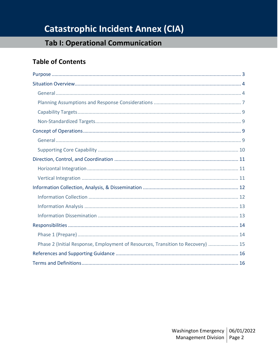## **Tab I: Operational Communication**

## **Table of Contents**

| Phase 2 (Initial Response, Employment of Resources, Transition to Recovery)  15 |
|---------------------------------------------------------------------------------|
|                                                                                 |
|                                                                                 |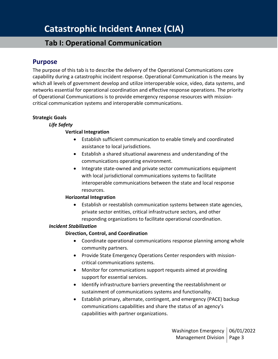## **Tab I: Operational Communication**

### <span id="page-2-0"></span>**Purpose**

The purpose of this tab is to describe the delivery of the Operational Communications core capability during a catastrophic incident response. Operational Communication is the means by which all levels of government develop and utilize interoperable voice, video, data systems, and networks essential for operational coordination and effective response operations. The priority of Operational Communications is to provide emergency response resources with missioncritical communication systems and interoperable communications.

#### **Strategic Goals**

#### *Life Safety*

#### **Vertical Integration**

- Establish sufficient communication to enable timely and coordinated assistance to local jurisdictions.
- Establish a shared situational awareness and understanding of the communications operating environment.
- Integrate state-owned and private sector communications equipment with local jurisdictional communications systems to facilitate interoperable communications between the state and local response resources.

#### **Horizontal Integration**

• Establish or reestablish communication systems between state agencies, private sector entities, critical infrastructure sectors, and other responding organizations to facilitate operational coordination.

#### *Incident Stabilization*

#### **Direction, Control, and Coordination**

- Coordinate operational communications response planning among whole community partners.
- Provide State Emergency Operations Center responders with missioncritical communications systems.
- Monitor for communications support requests aimed at providing support for essential services.
- Identify infrastructure barriers preventing the reestablishment or sustainment of communications systems and functionality.
- Establish primary, alternate, contingent, and emergency (PACE) backup communications capabilities and share the status of an agency's capabilities with partner organizations.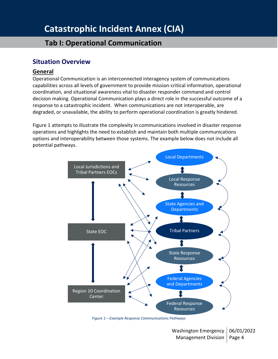## **Tab I: Operational Communication**

### <span id="page-3-0"></span>**Situation Overview**

#### <span id="page-3-1"></span>**General**

Operational Communication is an interconnected interagency system of communications capabilities across all levels of government to provide mission-critical information, operational coordination, and situational awareness vital to disaster responder command and control decision making. Operational Communication plays a direct role in the successful outcome of a response to a catastrophic incident. When communications are not interoperable, are degraded, or unavailable, the ability to perform operational coordination is greatly hindered.

Figure 1 attempts to illustrate the complexity in communications involved in disaster response operations and highlights the need to establish and maintain both multiple communications options and interoperability between those systems. The example below does not include all potential pathways.



*Figure 1 – Example Response Communications Pathways*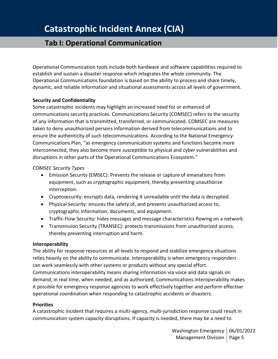## **Tab I: Operational Communication**

Operational Communication tools include both hardware and software capabilities required to establish and sustain a disaster response which integrates the whole community. The Operational Communications foundation is based on the ability to process and share timely, dynamic, and reliable information and situational assessments across all levels of government.

#### **Security and Confidentiality**

Some catastrophic incidents may highlight an increased need for or enhanced of communications security practices. Communications Security (COMSEC) refers to the security of any information that is transmitted, transferred, or communicated. COMSEC are measures taken to deny unauthorized persons information derived from telecommunications and to ensure the authenticity of such telecommunications. According to the National Emergency Communications Plan, "as emergency communication systems and functions become more interconnected, they also become more susceptible to physical and cyber vulnerabilities and disruptions in other parts of the Operational Communications Ecosystem."

#### *COMSEC Security Types*

- Emission Security (EMSEC): Prevents the release or capture of emanations from equipment, such as cryptographic equipment, thereby preventing unauthorize interception.
- Cryptosecurity: encrypts data, rendering it unreadable until the data is decrypted.
- Physical Security: ensures the safety of, and prevents unauthorized access to, cryptographic information, documents, and equipment.
- Traffic-Flow Security: hides messages and message characteristics flowing on a network.
- Transmission Security (TRANSEC): protects transmissions from unauthorized access, thereby preventing interruption and harm.

#### **Interoperability**

The ability for response resources at all levels to respond and stabilize emergency situations relies heavily on the ability to communicate. Interoperability is when emergency responders can work seamlessly with other systems or products without any special effort. Communications interoperability means sharing information via voice and data signals on demand, in real time, when needed, and as authorized. Communications interoperability makes it possible for emergency response agencies to work effectively together and perform effective operational coordination when responding to catastrophic accidents or disasters.

#### **Priorities**

A catastrophic incident that requires a multi-agency, multi-jurisdiction response could result in communication system capacity disruptions. If capacity is needed, there may be a need to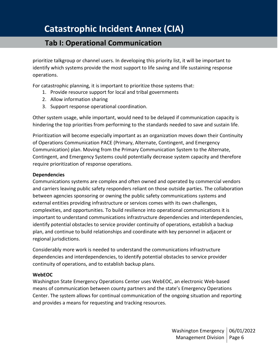## **Tab I: Operational Communication**

prioritize talkgroup or channel users. In developing this priority list, it will be important to identify which systems provide the most support to life saving and life sustaining response operations.

For catastrophic planning, it is important to prioritize those systems that:

- 1. Provide resource support for local and tribal governments
- 2. Allow information sharing
- 3. Support response operational coordination.

Other system usage, while important, would need to be delayed if communication capacity is hindering the top priorities from performing to the standards needed to save and sustain life.

Prioritization will become especially important as an organization moves down their Continuity of Operations Communication PACE (Primary, Alternate, Contingent, and Emergency Communication) plan. Moving from the Primary Communication System to the Alternate, Contingent, and Emergency Systems could potentially decrease system capacity and therefore require prioritization of response operations.

#### **Dependencies**

Communications systems are complex and often owned and operated by commercial vendors and carriers leaving public safety responders reliant on those outside parties. The collaboration between agencies sponsoring or owning the public safety communications systems and external entities providing infrastructure or services comes with its own challenges, complexities, and opportunities. To build resilience into operational communications it is important to understand communications infrastructure dependencies and interdependencies, identify potential obstacles to service provider continuity of operations, establish a backup plan, and continue to build relationships and coordinate with key personnel in adjacent or regional jurisdictions.

Considerably more work is needed to understand the communications infrastructure dependencies and interdependencies, to identify potential obstacles to service provider continuity of operations, and to establish backup plans.

#### **WebEOC**

Washington State Emergency Operations Center uses WebEOC, an electronic Web-based means of communication between county partners and the state's Emergency Operations Center. The system allows for continual communication of the ongoing situation and reporting and provides a means for requesting and tracking resources.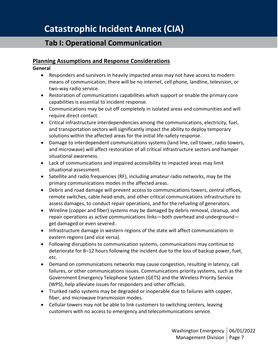#### <span id="page-6-0"></span>**Planning Assumptions and Response Considerations**

#### **General**

- Responders and survivors in heavily impacted areas may not have access to modern means of communication; there will be no internet, cell phone, landline, television, or two-way radio service.
- Restoration of communications capabilities which support or enable the primary core capabilities is essential to incident response.
- Communications may be cut off completely in isolated areas and communities and will require direct contact.
- Critical infrastructure interdependencies among the communications, electricity, fuel, and transportation sectors will significantly impact the ability to deploy temporary solutions within the affected areas for the initial life-safety response.
- Damage to interdependent communications systems (land line, cell tower, radio towers, and microwave) will affect restoration of all critical infrastructure sectors and hamper situational awareness.
- Lack of communications and impaired accessibility to impacted areas may limit situational assessment.
- Satellite and radio frequencies (RF), including amateur radio networks, may be the primary communications modes in the affected areas.
- Debris and road damage will prevent access to communications towers, central offices, remote switches, cable head-ends, and other critical communications infrastructure to assess damages, to conduct repair operations, and for the refueling of generators.
- Wireline (copper and fiber) systems may be damaged by debris removal, cleanup, and repair operations as active communications links—both overhead and underground get damaged or even severed.
- Infrastructure damage in western regions of the state will affect communications in eastern regions (and vice versa).
- Following disruptions to communication systems, communications may continue to deteriorate for 8–12 hours following the incident due to the loss of backup power, fuel, etc.
- Demand on communications networks may cause congestion, resulting in latency, call failures, or other communications issues. Communications priority systems, such as the Government Emergency Telephone System (GETS) and the Wireless Priority Service (WPS), help alleviate issues for responders and other officials.
- Trunked radio systems may be degraded or inoperable due to failures with copper, fiber, and microwave transmission modes.
- Cellular towers may not be able to link customers to switching centers, leaving customers with no access to emergency and telecommunications service.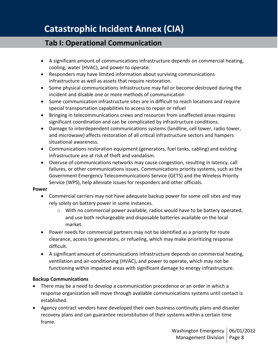- A significant amount of communications infrastructure depends on commercial heating, cooling, water (HVAC), and power to operate.
- Responders may have limited information about surviving communications infrastructure as well as assets that require restoration.
- Some physical communications infrastructure may fail or become destroyed during the incident and disable one or more methods of communication
- Some communication infrastructure sites are in difficult to reach locations and require special transportation capabilities to access to repair or refuel
- Bringing in telecommunications crews and resources from unaffected areas requires significant coordination and can be complicated by infrastructure conditions.
- Damage to interdependent communications systems (landline, cell tower, radio tower, and microwave) affects restoration of all critical infrastructure sectors and hampers situational awareness.
- Communications restoration equipment (generators, fuel tanks, cabling) and existing infrastructure are at risk of theft and vandalism.
- Overuse of communications networks may cause congestion, resulting in latency, call failures, or other communications issues. Communications priority systems, such as the Government Emergency Telecommunications Service (GETS) and the Wireless Priority Service (WPS), help alleviate issues for responders and other officials.

#### **Power**

- Commercial carriers may not have adequate backup power for some cell sites and may rely solely on battery power in some instances.
	- $\circ$  With no commercial power available, radios would have to be battery operated, and use both rechargeable and disposable batteries available on the local market.
- Power needs for commercial partners may not be identified as a priority for route clearance, access to generators, or refueling, which may make prioritizing response difficult.
- A significant amount of communications infrastructure depends on commercial heating, ventilation and air-conditioning (HVAC), and power to operate, which may not be functioning within impacted areas with significant damage to energy infrastructure.

#### **Backup Communications**

- There may be a need to develop a communication precedence or an order in which a response organization will move through available communications systems until contact is established.
- Agency contract vendors have developed their own business continuity plans and disaster recovery plans and can guarantee reconstitution of their systems within a certain time frame.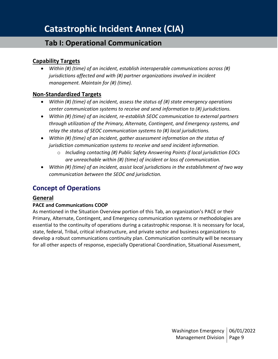### <span id="page-8-0"></span>**Capability Targets**

• *Within (#) (time) of an incident, establish interoperable communications across (#) jurisdictions affected and with (#) partner organizations involved in incident management. Maintain for (#) (time).* 

#### <span id="page-8-1"></span>**Non-Standardized Targets**

- *Within (#) (time) of an incident, assess the status of (#) state emergency operations center communication systems to receive and send information to (#) jurisdictions.*
- *Within (#) (time) of an incident, re-establish SEOC communication to external partners through utilization of the Primary, Alternate, Contingent, and Emergency systems, and relay the status of SEOC communication systems to (#) local jurisdictions.*
- *Within (#) (time) of an incident, gather assessment information on the status of jurisdiction communication systems to receive and send incident information.*
	- o *Including contacting (#) Public Safety Answering Points if local jurisdiction EOCs are unreachable within (#) (time) of incident or loss of communication.*
- *Within (#) (time) of an incident, assist local jurisdictions in the establishment of two way communication between the SEOC and jurisdiction.*

### <span id="page-8-2"></span>**Concept of Operations**

#### <span id="page-8-3"></span>**General**

#### **PACE and Communications COOP**

As mentioned in the Situation Overview portion of this Tab, an organization's PACE or their Primary, Alternate, Contingent, and Emergency communication systems or methodologies are essential to the continuity of operations during a catastrophic response. It is necessary for local, state, federal, Tribal, critical infrastructure, and private sector and business organizations to develop a robust communications continuity plan. Communication continuity will be necessary for all other aspects of response, especially Operational Coordination, Situational Assessment,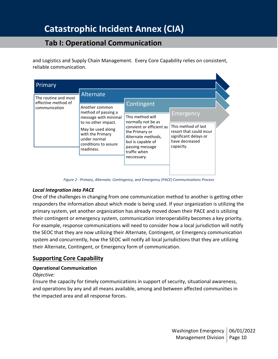## **Tab I: Operational Communication**

and Logistics and Supply Chain Management. Every Core Capability relies on consistent, reliable communication.



*Figure 2 - Primary, Alternate, Contingency, and Emergency (PACE) Communications Process*

#### *Local Integration into PACE*

One of the challenges in changing from one communication method to another is getting other responders the information about which mode is being used. If your organization is utilizing the primary system, yet another organization has already moved down their PACE and is utilizing their contingent or emergency system, communication interoperability becomes a key priority. For example, response communications will need to consider how a local jurisdiction will notify the SEOC that they are now utilizing their Alternate, Contingent, or Emergency communication system and concurrently, how the SEOC will notify all local jurisdictions that they are utilizing their Alternate, Contingent, or Emergency form of communication.

#### <span id="page-9-0"></span>**Supporting Core Capability**

#### **Operational Communication**

#### *Objective:*

Ensure the capacity for timely communications in support of security, situational awareness, and operations by any and all means available, among and between affected communities in the impacted area and all response forces.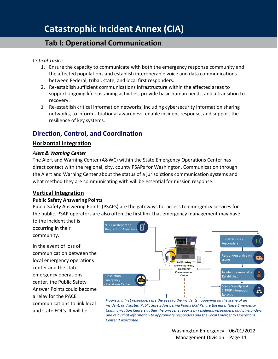*Critical Tasks:*

- 1. Ensure the capacity to communicate with both the emergency response community and the affected populations and establish interoperable voice and data communications between Federal, tribal, state, and local first responders.
- 2. Re-establish sufficient communications infrastructure within the affected areas to support ongoing life-sustaining activities, provide basic human needs, and a transition to recovery.
- 3. Re-establish critical information networks, including cybersecurity information sharing networks, to inform situational awareness, enable incident response, and support the resilience of key systems.

## <span id="page-10-0"></span>**Direction, Control, and Coordination**

#### <span id="page-10-1"></span>**Horizontal Integration**

#### *Alert & Warning Center*

The Alert and Warning Center (A&WC) within the State Emergency Operations Center has direct contact with the regional, city, county PSAPs for Washington. Communication through the Alert and Warning Center about the status of a jurisdictions communication systems and what method they are communicating with will be essential for mission response.

### <span id="page-10-2"></span>**Vertical Integration**

#### **Public Safety Answering Points**

Public Safety Answering Points (PSAPs) are the gateways for access to emergency services for the public. PSAP operators are also often the first link that emergency management may have

to the incident that is occurring in their community.

In the event of loss of communication between the local emergency operations center and the state emergency operations center, the Public Safety Answer Points could become a relay for the PACE communications to link local and state EOCs. It will be



*Figure 3: If first responders are the eyes to the incidents happening on the scene of an incident, or disaster, Public Safety Answering Points (PSAPs) are the ears. These Emergency Communication Centers gather the on-scene reports by residents, responders, and by-standers and relay that information to appropriate responders and the Local Emergency Operations Center if warranted.*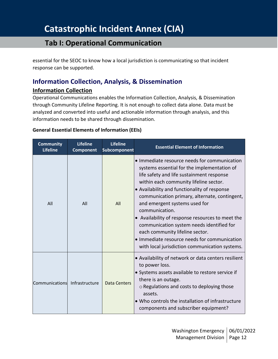## **Tab I: Operational Communication**

essential for the SEOC to know how a local jurisdiction is communicating so that incident response can be supported.

## <span id="page-11-0"></span>**Information Collection, Analysis, & Dissemination**

#### <span id="page-11-1"></span>**Information Collection**

Operational Communications enables the Information Collection, Analysis, & Dissemination through Community Lifeline Reporting. It is not enough to collect data alone. Data must be analyzed and converted into useful and actionable information through analysis, and this information needs to be shared through dissemination.

#### **General Essential Elements of Information (EEIs)**

| <b>Community</b><br><b>Lifeline</b> | <b>Lifeline</b><br>Component | <b>Lifeline</b><br>Subcomponent | <b>Essential Element of Information</b>                                                                                                                                                                                                                                                                                                                                                                                                                                                                                                                                      |
|-------------------------------------|------------------------------|---------------------------------|------------------------------------------------------------------------------------------------------------------------------------------------------------------------------------------------------------------------------------------------------------------------------------------------------------------------------------------------------------------------------------------------------------------------------------------------------------------------------------------------------------------------------------------------------------------------------|
| All                                 | All                          | All                             | • Immediate resource needs for communication<br>systems essential for the implementation of<br>life safety and life sustainment response<br>within each community lifeline sector.<br>• Availability and functionality of response<br>communication primary, alternate, contingent,<br>and emergent systems used for<br>communication.<br>• Availability of response resources to meet the<br>communication system needs identified for<br>each community lifeline sector.<br>• Immediate resource needs for communication<br>with local jurisdiction communication systems. |
| Communications                      | Infrastructure               | Data Centers                    | • Availability of network or data centers resilient<br>to power loss.<br>· Systems assets available to restore service if<br>there is an outage.<br>o Regulations and costs to deploying those<br>assets.<br>• Who controls the installation of infrastructure<br>components and subscriber equipment?                                                                                                                                                                                                                                                                       |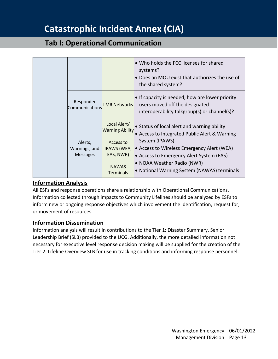## **Tab I: Operational Communication**

|                                             |                                                                                                                            | • Who holds the FCC licenses for shared<br>systems?<br>• Does an MOU exist that authorizes the use of<br>the shared system?                                                                                                                                                           |
|---------------------------------------------|----------------------------------------------------------------------------------------------------------------------------|---------------------------------------------------------------------------------------------------------------------------------------------------------------------------------------------------------------------------------------------------------------------------------------|
| Responder<br>Communications                 | <b>LMR Networks</b>                                                                                                        | • If capacity is needed, how are lower priority<br>users moved off the designated<br>interoperability talkgroup(s) or channel(s)?                                                                                                                                                     |
| Alerts,<br>Warnings, and<br><b>Messages</b> | Local Alert/<br><b>Warning Ability</b><br>Access to<br><b>IPAWS (WEA,</b><br>EAS, NWR)<br><b>NAWAS</b><br><b>Terminals</b> | • Status of local alert and warning ability<br>• Access to Integrated Public Alert & Warning<br>System (IPAWS)<br>• Access to Wireless Emergency Alert (WEA)<br>• Access to Emergency Alert System (EAS)<br>• NOAA Weather Radio (NWR)<br>• National Warning System (NAWAS) terminals |

#### <span id="page-12-0"></span>**Information Analysis**

All ESFs and response operations share a relationship with Operational Communications. Information collected through impacts to Community Lifelines should be analyzed by ESFs to inform new or ongoing response objectives which involvement the identification, request for, or movement of resources.

#### <span id="page-12-1"></span>**Information Dissemination**

Information analysis will result in contributions to the Tier 1: Disaster Summary, Senior Leadership Brief (SLB) provided to the UCG. Additionally, the more detailed information not necessary for executive level response decision making will be supplied for the creation of the Tier 2: Lifeline Overview SLB for use in tracking conditions and informing response personnel.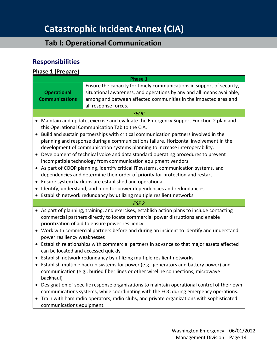## **Tab I: Operational Communication**

## <span id="page-13-0"></span>**Responsibilities**

#### <span id="page-13-1"></span>**Phase 1 (Prepare)**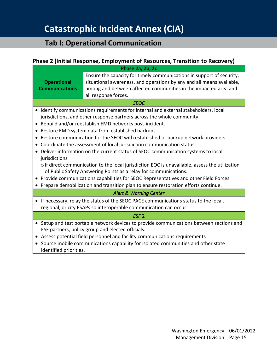#### <span id="page-14-0"></span>**Phase 2 (Initial Response, Employment of Resources, Transition to Recovery)**

|                                                                                                                                                          | Phase 2a, 2b, 2c                                                                                                                                                                                                                                                                                                                                                                                                                                                                                                                                                                                                                                                                                                                                                                                                                                                                                   |  |  |  |  |  |
|----------------------------------------------------------------------------------------------------------------------------------------------------------|----------------------------------------------------------------------------------------------------------------------------------------------------------------------------------------------------------------------------------------------------------------------------------------------------------------------------------------------------------------------------------------------------------------------------------------------------------------------------------------------------------------------------------------------------------------------------------------------------------------------------------------------------------------------------------------------------------------------------------------------------------------------------------------------------------------------------------------------------------------------------------------------------|--|--|--|--|--|
| <b>Operational</b><br><b>Communications</b>                                                                                                              | Ensure the capacity for timely communications in support of security,<br>situational awareness, and operations by any and all means available,<br>among and between affected communities in the impacted area and<br>all response forces.                                                                                                                                                                                                                                                                                                                                                                                                                                                                                                                                                                                                                                                          |  |  |  |  |  |
| <b>SEOC</b>                                                                                                                                              |                                                                                                                                                                                                                                                                                                                                                                                                                                                                                                                                                                                                                                                                                                                                                                                                                                                                                                    |  |  |  |  |  |
| jurisdictions                                                                                                                                            | • Identify communications requirements for internal and external stakeholders, local<br>jurisdictions, and other response partners across the whole community.<br>• Rebuild and/or reestablish EMD networks post-incident.<br>Restore EMD system data from established backups.<br>• Restore communication for the SEOC with established or backup network providers.<br>Coordinate the assessment of local jurisdiction communication status.<br>• Deliver information on the current status of SEOC communication systems to local<br>$\circ$ If direct communication to the local jurisdiction EOC is unavailable, assess the utilization<br>of Public Safety Answering Points as a relay for communications.<br>• Provide communications capabilities for SEOC Representatives and other Field Forces.<br>• Prepare demobilization and transition plan to ensure restoration efforts continue. |  |  |  |  |  |
|                                                                                                                                                          | <b>Alert &amp; Warning Center</b>                                                                                                                                                                                                                                                                                                                                                                                                                                                                                                                                                                                                                                                                                                                                                                                                                                                                  |  |  |  |  |  |
| If necessary, relay the status of the SEOC PACE communications status to the local,<br>regional, or city PSAPs so interoperable communication can occur. |                                                                                                                                                                                                                                                                                                                                                                                                                                                                                                                                                                                                                                                                                                                                                                                                                                                                                                    |  |  |  |  |  |
| ESF <sub>2</sub>                                                                                                                                         |                                                                                                                                                                                                                                                                                                                                                                                                                                                                                                                                                                                                                                                                                                                                                                                                                                                                                                    |  |  |  |  |  |
| identified priorities.                                                                                                                                   | • Setup and test portable network devices to provide communications between sections and<br>ESF partners, policy group and elected officials.<br>Assess potential field personnel and facility communications requirements<br>Source mobile communications capability for isolated communities and other state                                                                                                                                                                                                                                                                                                                                                                                                                                                                                                                                                                                     |  |  |  |  |  |